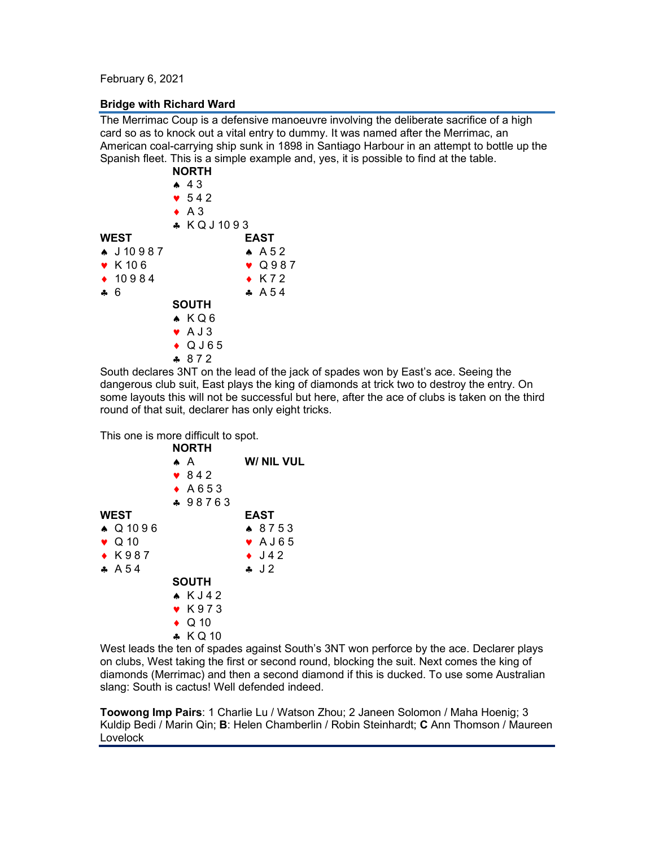February 6, 2021

## **Bridge with Richard Ward**

The Merrimac Coup is a defensive manoeuvre involving the deliberate sacrifice of a high card so as to knock out a vital entry to dummy. It was named after the Merrimac, an American coal-carrying ship sunk in 1898 in Santiago Harbour in an attempt to bottle up the Spanish fleet. This is a simple example and, yes, it is possible to find at the table.

|                      | <b>NORTH</b>    |
|----------------------|-----------------|
|                      | 43              |
|                      | $\bullet$ 542   |
|                      | $\bullet$ A 3   |
|                      | * KQJ1093       |
| <b>WEST</b>          | EAST            |
| $\bullet$ J 10 9 8 7 | $AA$ 52         |
| $\bullet$ K 106      | $\bullet$ Q987  |
| $\div$ 10984         | $\bullet$ K72   |
| $\clubsuit$ 6        | $A\ 6.54$       |
|                      | <b>SOUTH</b>    |
|                      | $\bullet$ $KQ6$ |
|                      | $\bullet$ A J 3 |
|                      | $\bullet$ QJ65  |
|                      | $-872$          |
|                      | .               |

South declares 3NT on the lead of the jack of spades won by East's ace. Seeing the dangerous club suit, East plays the king of diamonds at trick two to destroy the entry. On some layouts this will not be successful but here, after the ace of clubs is taken on the third round of that suit, declarer has only eight tricks.

This one is more difficult to spot.

|                | <b>NORTH</b>                   |                |
|----------------|--------------------------------|----------------|
|                | $\bullet$ A                    | W/ NIL VUL     |
|                | $\bullet$ 842                  |                |
|                | $\bullet$ A653                 |                |
|                | ♣ 98763                        |                |
| <b>WEST</b>    |                                | EAST           |
| ▲ Q 10 9 6     |                                | $\bullet$ 8753 |
| $\bullet$ Q 10 |                                | $\bullet$ AJ65 |
| $\bullet$ K987 |                                | $\bullet$ J42  |
| $A\ 6.54$      |                                | $\lambda$ J 2  |
|                | <b>SOUTH</b>                   |                |
|                | $\star$ KJ42                   |                |
|                | $\bullet$ K973                 |                |
|                | $\bullet$ Q 10                 |                |
|                | $\bullet$ KQ10                 |                |
| \\\__\\\__     | والمستمرس كالمراسية المستعالية |                |

West leads the ten of spades against South's 3NT won perforce by the ace. Declarer plays on clubs, West taking the first or second round, blocking the suit. Next comes the king of diamonds (Merrimac) and then a second diamond if this is ducked. To use some Australian slang: South is cactus! Well defended indeed.

**Toowong Imp Pairs**: 1 Charlie Lu / Watson Zhou; 2 Janeen Solomon / Maha Hoenig; 3 Kuldip Bedi / Marin Qin; **B**: Helen Chamberlin / Robin Steinhardt; **C** Ann Thomson / Maureen Lovelock